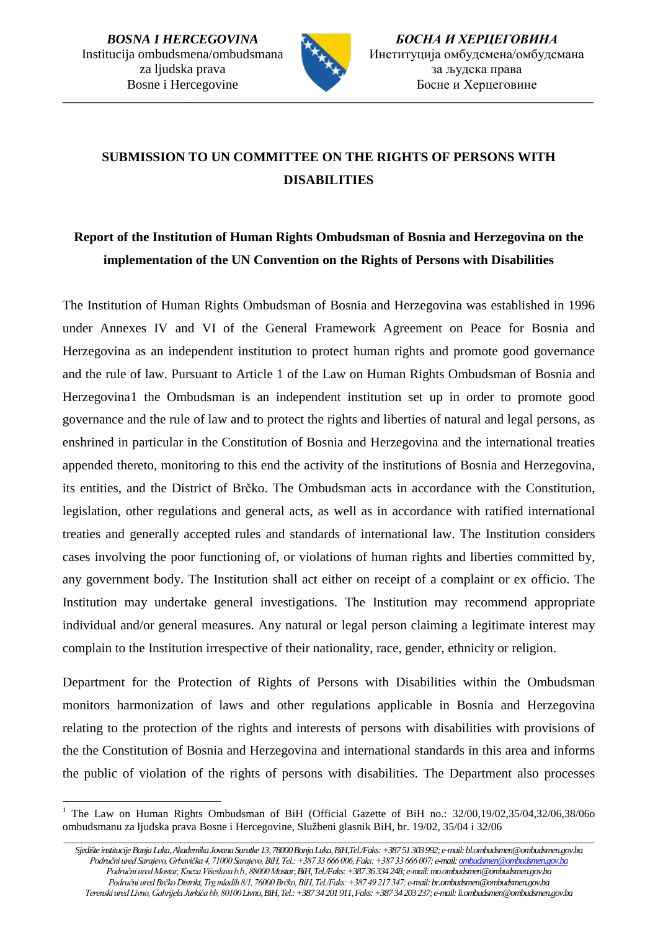*BOSNA I HERCEGOVINA* Institucija ombudsmena/ombudsmana za ljudska prava Bosne i Hercegovine



\_\_\_\_\_\_\_\_\_\_\_\_\_\_\_\_\_\_\_\_\_\_\_\_\_\_\_\_\_\_\_\_\_\_\_\_\_\_\_\_\_\_\_\_\_\_\_\_\_\_\_\_\_\_\_\_\_\_\_\_\_\_\_\_\_\_\_\_\_\_\_\_\_\_\_\_\_\_\_\_\_\_\_\_\_\_\_\_\_\_\_\_\_\_\_\_

*БОСНА И ХЕРЦЕГОВИНА* Институција омбудсмена/омбудсмана за људска права Босне и Херцеговине

# **SUBMISSION TO UN COMMITTEE ON THE RIGHTS OF PERSONS WITH DISABILITIES**

# **Report of the Institution of Human Rights Ombudsman of Bosnia and Herzegovina on the implementation of the UN Convention on the Rights of Persons with Disabilities**

The Institution of Human Rights Ombudsman of Bosnia and Herzegovina was established in 1996 under Annexes IV and VI of the General Framework Agreement on Peace for Bosnia and Herzegovina as an independent institution to protect human rights and promote good governance and the rule of law. Pursuant to Article 1 of the Law on Human Rights Ombudsman of Bosnia and Herzegovina[1](#page-0-0) the Ombudsman is an independent institution set up in order to promote good governance and the rule of law and to protect the rights and liberties of natural and legal persons, as enshrined in particular in the Constitution of Bosnia and Herzegovina and the international treaties appended thereto, monitoring to this end the activity of the institutions of Bosnia and Herzegovina, its entities, and the District of Brčko. The Ombudsman acts in accordance with the Constitution, legislation, other regulations and general acts, as well as in accordance with ratified international treaties and generally accepted rules and standards of international law. The Institution considers cases involving the poor functioning of, or violations of human rights and liberties committed by, any government body. The Institution shall act either on receipt of a complaint or ex officio. The Institution may undertake general investigations. The Institution may recommend appropriate individual and/or general measures. Any natural or legal person claiming a legitimate interest may complain to the Institution irrespective of their nationality, race, gender, ethnicity or religion.

Department for the Protection of Rights of Persons with Disabilities within the Ombudsman monitors harmonization of laws and other regulations applicable in Bosnia and Herzegovina relating to the protection of the rights and interests of persons with disabilities with provisions of the the Constitution of Bosnia and Herzegovina and international standards in this area and informs the public of violation of the rights of persons with disabilities. The Department also processes

<span id="page-0-0"></span><sup>&</sup>lt;sup>1</sup> The Law on Human Rights Ombudsman of BiH (Official Gazette of BiH no.: 32/00,19/02,35/04,32/06,38/06o ombudsmanu za ljudska prava Bosne i Hercegovine, Službeni glasnik BiH, br. 19/02, 35/04 i 32/06

*\_\_\_\_\_\_\_\_\_\_\_\_\_\_\_\_\_\_\_\_\_\_\_\_\_\_\_\_\_\_\_\_\_\_\_\_\_\_\_\_\_\_\_\_\_\_\_\_\_\_\_\_\_\_\_\_\_\_\_\_\_\_\_\_\_\_\_\_\_\_\_\_\_\_\_\_\_\_\_\_\_\_\_\_\_\_\_\_\_\_\_\_\_\_\_\_\_\_\_\_\_\_\_\_\_\_\_\_\_\_\_\_\_\_\_\_\_\_\_\_\_\_\_ Sjedište institucije Banja Luka, Akademika Jovana Surutke 13, 78000 Banja Luka, BiH,Tel./Faks: +387 51 303 992; e-mail: bl.ombudsmen@ombudsmen.gov.ba Područni ured Sarajevo, Grbavička 4, 71000 Sarajevo, BiH, Tel.: +387 33 666 006, Faks: +387 33 666 007; e-mail[: ombudsmen@ombudsmen.gov.ba](mailto:ombudsmen@ombudsmen.gov.ba) Područni ured Mostar, Kneza Višeslava b.b., 88000 Mostar, BiH, Tel./Faks: +387 36 334 248; e-mail: mo.ombudsmen@ombudsmen.gov.ba Područni ured Brčko Distrikt, Trg mladih 8/1, 76000 Brčko, BiH, Tel./Faks: +387 49 217 347; e-mail: br.ombudsmen@ombudsmen.gov.ba Terenski ured Livno, Gabrijela Jurkića bb, 80100Livno, BiH, Tel.: +387 34 201 911, Faks: +387 34 203 237; e-mail: li.ombudsmen@ombudsmen.gov.ba*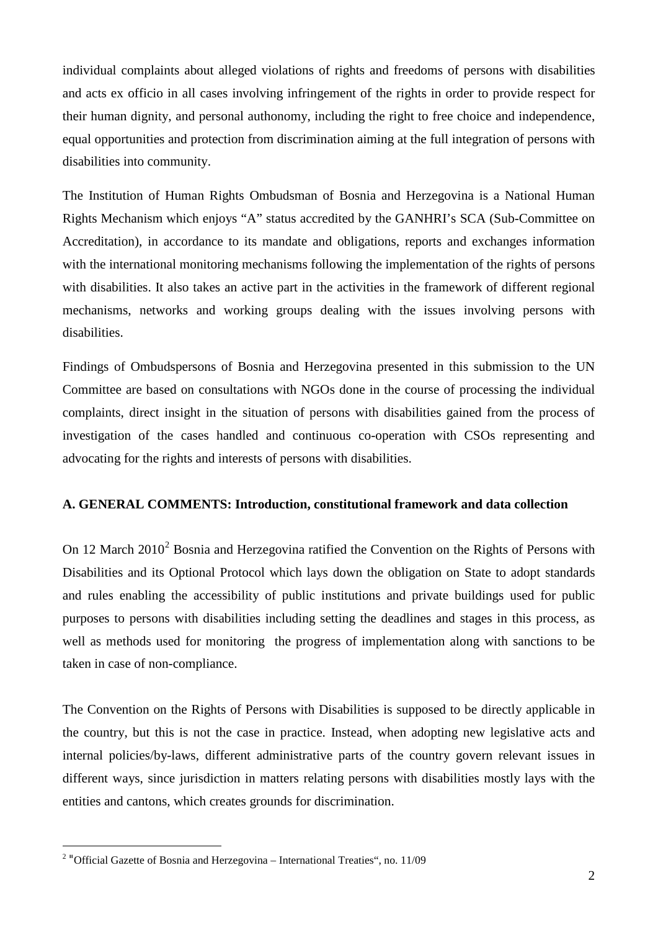individual complaints about alleged violations of rights and freedoms of persons with disabilities and acts ex officio in all cases involving infringement of the rights in order to provide respect for their human dignity, and personal authonomy, including the right to free choice and independence, equal opportunities and protection from discrimination aiming at the full integration of persons with disabilities into community.

The Institution of Human Rights Ombudsman of Bosnia and Herzegovina is a National Human Rights Mechanism which enjoys "A" status accredited by the GANHRI's SCA (Sub-Committee on Accreditation), in accordance to its mandate and obligations, reports and exchanges information with the international monitoring mechanisms following the implementation of the rights of persons with disabilities. It also takes an active part in the activities in the framework of different regional mechanisms, networks and working groups dealing with the issues involving persons with disabilities.

Findings of Ombudspersons of Bosnia and Herzegovina presented in this submission to the UN Committee are based on consultations with NGOs done in the course of processing the individual complaints, direct insight in the situation of persons with disabilities gained from the process of investigation of the cases handled and continuous co-operation with CSOs representing and advocating for the rights and interests of persons with disabilities.

# **A. GENERAL COMMENTS: Introduction, constitutional framework and data collection**

On 1[2](#page-1-0) March  $2010^2$  Bosnia and Herzegovina ratified the Convention on the Rights of Persons with Disabilities and its Optional Protocol which lays down the obligation on State to adopt standards and rules enabling the accessibility of public institutions and private buildings used for public purposes to persons with disabilities including setting the deadlines and stages in this process, as well as methods used for monitoring the progress of implementation along with sanctions to be taken in case of non-compliance.

The Convention on the Rights of Persons with Disabilities is supposed to be directly applicable in the country, but this is not the case in practice. Instead, when adopting new legislative acts and internal policies/by-laws, different administrative parts of the country govern relevant issues in different ways, since jurisdiction in matters relating persons with disabilities mostly lays with the entities and cantons, which creates grounds for discrimination.

<span id="page-1-0"></span> <sup>2</sup> "Official Gazette of Bosnia and Herzegovina – International Treaties", no. 11/09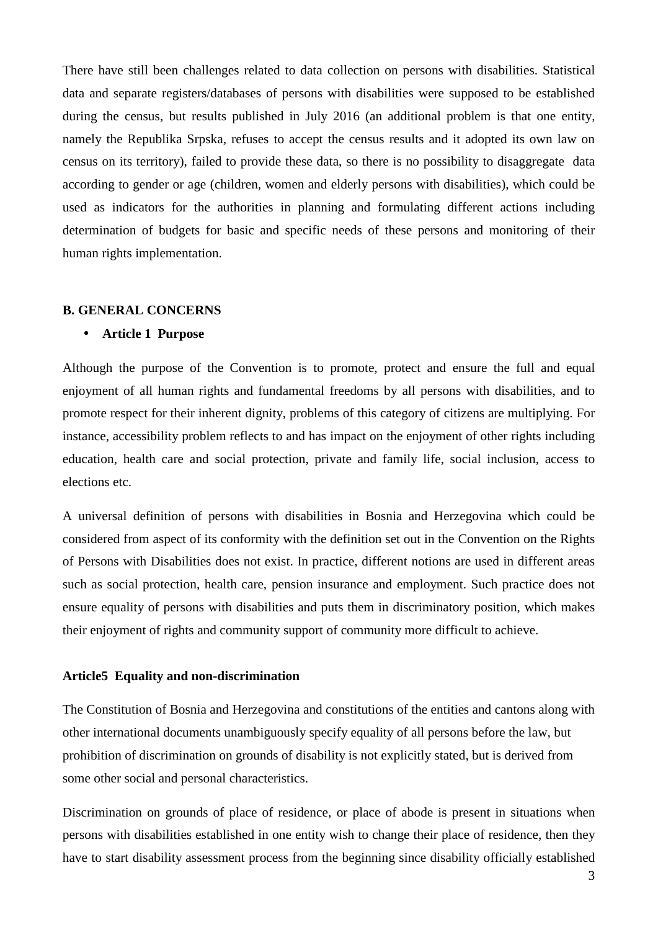There have still been challenges related to data collection on persons with disabilities. Statistical data and separate registers/databases of persons with disabilities were supposed to be established during the census, but results published in July 2016 (an additional problem is that one entity, namely the Republika Srpska, refuses to accept the census results and it adopted its own law on census on its territory), failed to provide these data, so there is no possibility to disaggregate data according to gender or age (children, women and elderly persons with disabilities), which could be used as indicators for the authorities in planning and formulating different actions including determination of budgets for basic and specific needs of these persons and monitoring of their human rights implementation.

#### **B. GENERAL CONCERNS**

# **Article 1 Purpose**

Although the purpose of the Convention is to promote, protect and ensure the full and equal enjoyment of all human rights and fundamental freedoms by all persons with disabilities, and to promote respect for their inherent dignity, problems of this category of citizens are multiplying. For instance, accessibility problem reflects to and has impact on the enjoyment of other rights including education, health care and social protection, private and family life, social inclusion, access to elections etc.

A universal definition of persons with disabilities in Bosnia and Herzegovina which could be considered from aspect of its conformity with the definition set out in the Convention on the Rights of Persons with Disabilities does not exist. In practice, different notions are used in different areas such as social protection, health care, pension insurance and employment. Such practice does not ensure equality of persons with disabilities and puts them in discriminatory position, which makes their enjoyment of rights and community support of community more difficult to achieve.

#### **Article5 Equality and non-discrimination**

The Constitution of Bosnia and Herzegovina and constitutions of the entities and cantons along with other international documents unambiguously specify equality of all persons before the law, but prohibition of discrimination on grounds of disability is not explicitly stated, but is derived from some other social and personal characteristics.

Discrimination on grounds of place of residence, or place of abode is present in situations when persons with disabilities established in one entity wish to change their place of residence, then they have to start disability assessment process from the beginning since disability officially established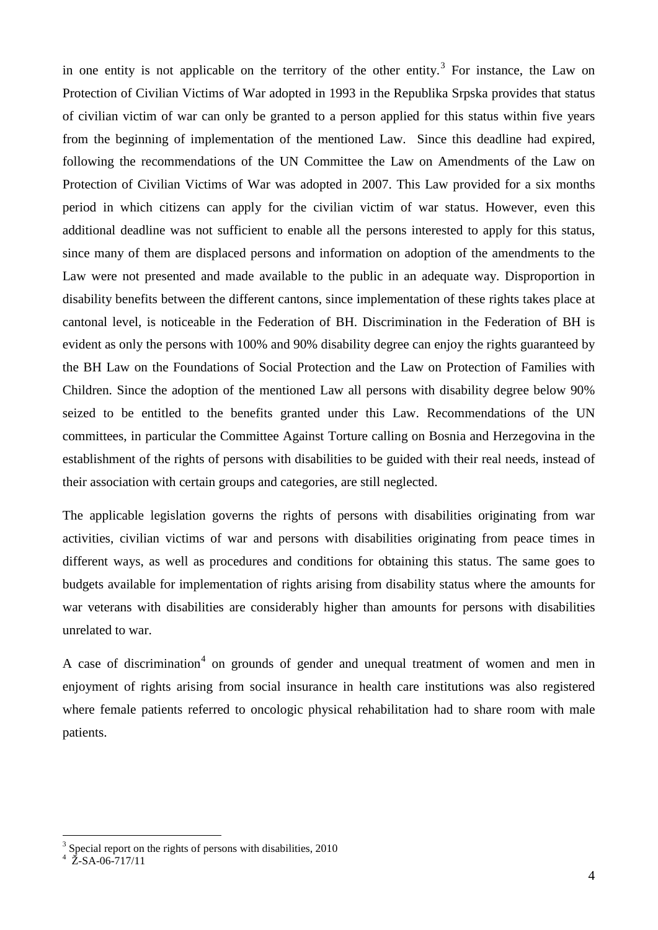in one entity is not applicable on the territory of the other entity.<sup>[3](#page-3-0)</sup> For instance, the Law on Protection of Civilian Victims of War adopted in 1993 in the Republika Srpska provides that status of civilian victim of war can only be granted to a person applied for this status within five years from the beginning of implementation of the mentioned Law. Since this deadline had expired, following the recommendations of the UN Committee the Law on Amendments of the Law on Protection of Civilian Victims of War was adopted in 2007. This Law provided for a six months period in which citizens can apply for the civilian victim of war status. However, even this additional deadline was not sufficient to enable all the persons interested to apply for this status, since many of them are displaced persons and information on adoption of the amendments to the Law were not presented and made available to the public in an adequate way. Disproportion in disability benefits between the different cantons, since implementation of these rights takes place at cantonal level, is noticeable in the Federation of BH. Discrimination in the Federation of BH is evident as only the persons with 100% and 90% disability degree can enjoy the rights guaranteed by the BH Law on the Foundations of Social Protection and the Law on Protection of Families with Children. Since the adoption of the mentioned Law all persons with disability degree below 90% seized to be entitled to the benefits granted under this Law. Recommendations of the UN committees, in particular the Committee Against Torture calling on Bosnia and Herzegovina in the establishment of the rights of persons with disabilities to be guided with their real needs, instead of their association with certain groups and categories, are still neglected.

The applicable legislation governs the rights of persons with disabilities originating from war activities, civilian victims of war and persons with disabilities originating from peace times in different ways, as well as procedures and conditions for obtaining this status. The same goes to budgets available for implementation of rights arising from disability status where the amounts for war veterans with disabilities are considerably higher than amounts for persons with disabilities unrelated to war.

A case of discrimination<sup>[4](#page-3-1)</sup> on grounds of gender and unequal treatment of women and men in enjoyment of rights arising from social insurance in health care institutions was also registered where female patients referred to oncologic physical rehabilitation had to share room with male patients.

<span id="page-3-0"></span><sup>&</sup>lt;sup>3</sup> Special report on the rights of persons with disabilities, 2010<sup>4</sup>  $\check{Z}$ -SA-06-717/11

<span id="page-3-1"></span>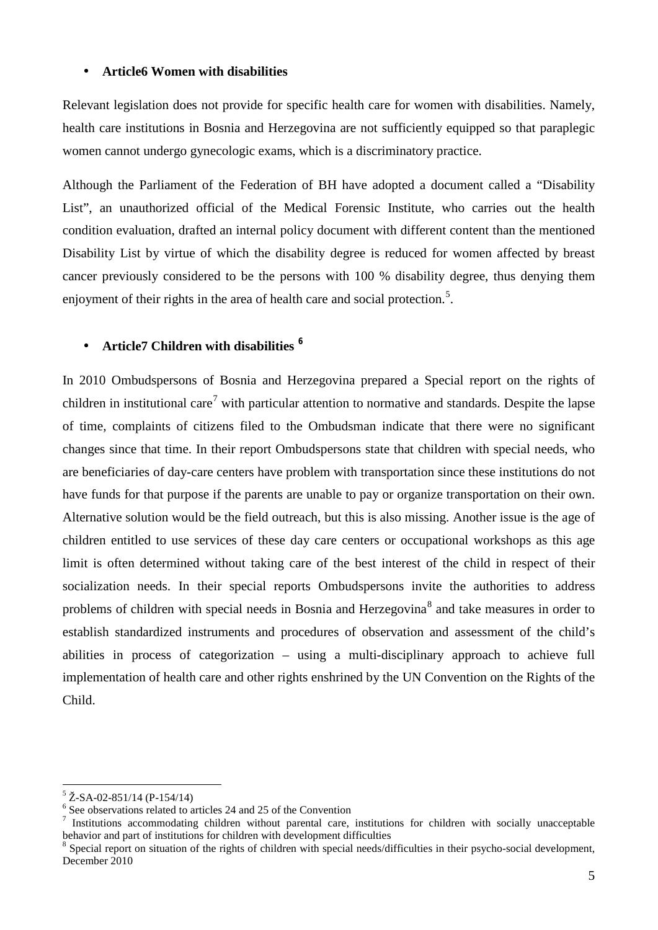## **Article6 Women with disabilities**

Relevant legislation does not provide for specific health care for women with disabilities. Namely, health care institutions in Bosnia and Herzegovina are not sufficiently equipped so that paraplegic women cannot undergo gynecologic exams, which is a discriminatory practice.

Although the Parliament of the Federation of BH have adopted a document called a "Disability List", an unauthorized official of the Medical Forensic Institute, who carries out the health condition evaluation, drafted an internal policy document with different content than the mentioned Disability List by virtue of which the disability degree is reduced for women affected by breast cancer previously considered to be the persons with 100 % disability degree, thus denying them enjoyment of their rights in the area of health care and social protection.<sup>[5](#page-4-0)</sup>.

# **Article7 Children with disabilities [6](#page-4-1)**

In 2010 Ombudspersons of Bosnia and Herzegovina prepared a Special report on the rights of children in institutional care<sup>[7](#page-4-2)</sup> with particular attention to normative and standards. Despite the lapse of time, complaints of citizens filed to the Ombudsman indicate that there were no significant changes since that time. In their report Ombudspersons state that children with special needs, who are beneficiaries of day-care centers have problem with transportation since these institutions do not have funds for that purpose if the parents are unable to pay or organize transportation on their own. Alternative solution would be the field outreach, but this is also missing. Another issue is the age of children entitled to use services of these day care centers or occupational workshops as this age limit is often determined without taking care of the best interest of the child in respect of their socialization needs. In their special reports Ombudspersons invite the authorities to address problems of children with special needs in Bosnia and Herzegovina<sup>[8](#page-4-3)</sup> and take measures in order to establish standardized instruments and procedures of observation and assessment of the child's abilities in process of categorization – using a multi-disciplinary approach to achieve full implementation of health care and other rights enshrined by the UN Convention on the Rights of the Child.

<span id="page-4-2"></span><span id="page-4-1"></span>

<span id="page-4-0"></span><sup>&</sup>lt;sup>5</sup>  $\text{Z-SA-02-851/14}$  (P-154/14)<br>
<sup>6</sup> See observations related to articles 24 and 25 of the Convention<br>
<sup>7</sup> Institutions accommodating children without parental care, institutions for children with socially unacceptable behavior and part of institutions for children with development difficulties

<span id="page-4-3"></span><sup>&</sup>lt;sup>8</sup> Special report on situation of the rights of children with special needs/difficulties in their psycho-social development, December 2010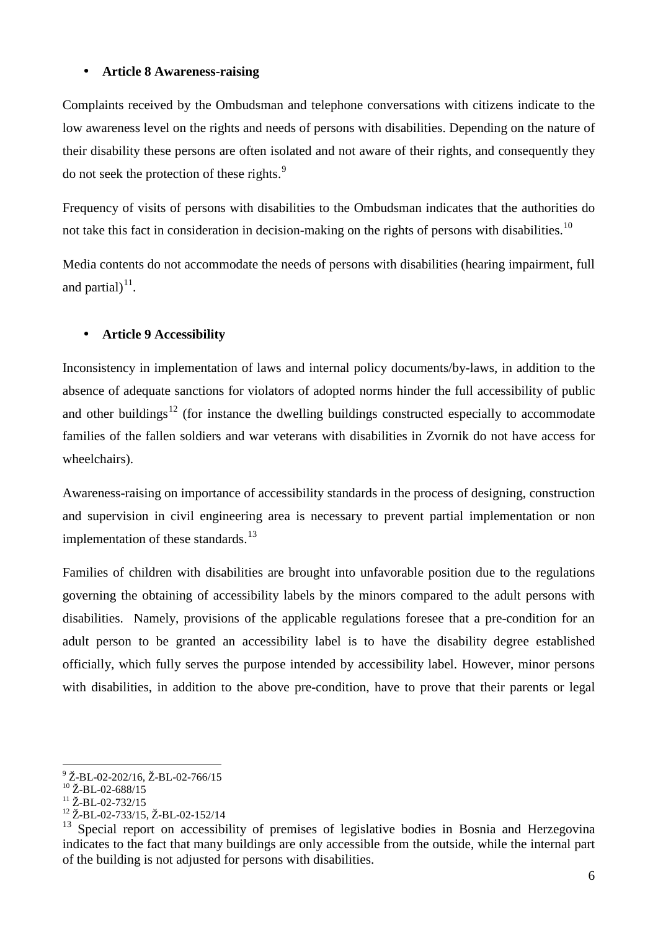#### **Article 8 Awareness-raising**  $\hat{\mathbf{r}}$

Complaints received by the Ombudsman and telephone conversations with citizens indicate to the low awareness level on the rights and needs of persons with disabilities. Depending on the nature of their disability these persons are often isolated and not aware of their rights, and consequently they do not seek the protection of these rights.<sup>[9](#page-5-0)</sup>

Frequency of visits of persons with disabilities to the Ombudsman indicates that the authorities do not take this fact in consideration in decision-making on the rights of persons with disabilities.<sup>[10](#page-5-1)</sup>

Media contents do not accommodate the needs of persons with disabilities (hearing impairment, full and partial) $^{11}$  $^{11}$  $^{11}$ .

# **Article 9 Accessibility**

Inconsistency in implementation of laws and internal policy documents/by-laws, in addition to the absence of adequate sanctions for violators of adopted norms hinder the full accessibility of public and other buildings<sup>[12](#page-5-3)</sup> (for instance the dwelling buildings constructed especially to accommodate families of the fallen soldiers and war veterans with disabilities in Zvornik do not have access for wheelchairs).

Awareness-raising on importance of accessibility standards in the process of designing, construction and supervision in civil engineering area is necessary to prevent partial implementation or non implementation of these standards.<sup>[13](#page-5-4)</sup>

Families of children with disabilities are brought into unfavorable position due to the regulations governing the obtaining of accessibility labels by the minors compared to the adult persons with disabilities. Namely, provisions of the applicable regulations foresee that a pre-condition for an adult person to be granted an accessibility label is to have the disability degree established officially, which fully serves the purpose intended by accessibility label. However, minor persons with disabilities, in addition to the above pre-condition, have to prove that their parents or legal

<span id="page-5-0"></span><sup>&</sup>lt;sup>9</sup> Ž-BL-02-202/16, Ž-BL-02-766/15<br><sup>10</sup> Ž-BL-02-688/15<br><sup>11</sup> Ž-BL-02-732/15<br><sup>12</sup> Ž-BL-02-733/15, Ž-BL-02-152/14

<span id="page-5-1"></span>

<span id="page-5-2"></span>

<span id="page-5-3"></span>

<span id="page-5-4"></span> $13$  Special report on accessibility of premises of legislative bodies in Bosnia and Herzegovina indicates to the fact that many buildings are only accessible from the outside, while the internal part of the building is not adjusted for persons with disabilities.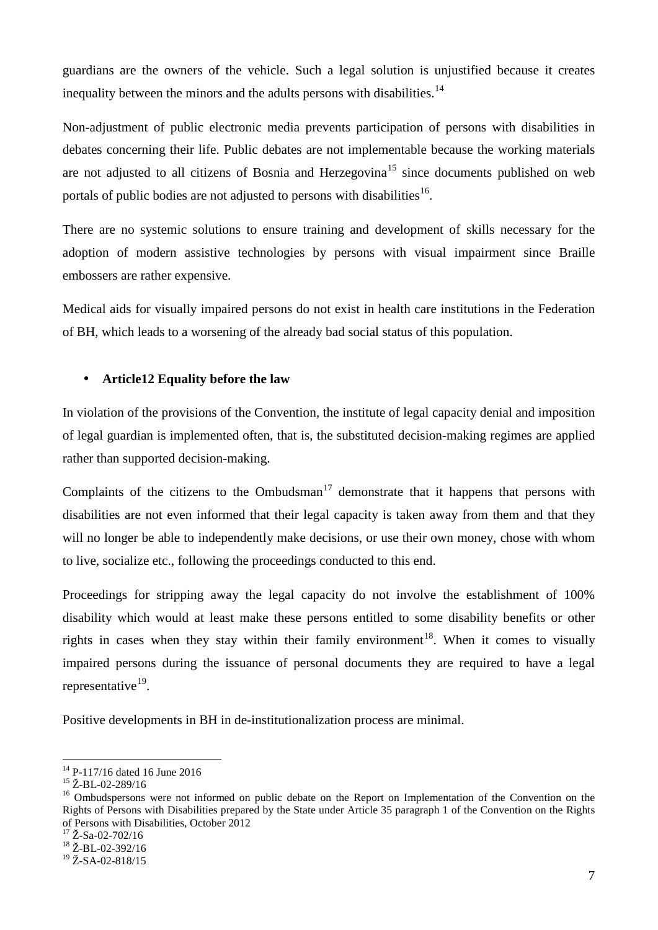guardians are the owners of the vehicle. Such a legal solution is unjustified because it creates inequality between the minors and the adults persons with disabilities.<sup>[14](#page-6-0)</sup>

Non-adjustment of public electronic media prevents participation of persons with disabilities in debates concerning their life. Public debates are not implementable because the working materials are not adjusted to all citizens of Bosnia and Herzegovina<sup>[15](#page-6-1)</sup> since documents published on web portals of public bodies are not adjusted to persons with disabilities<sup>16</sup>.

There are no systemic solutions to ensure training and development of skills necessary for the adoption of modern assistive technologies by persons with visual impairment since Braille embossers are rather expensive.

Medical aids for visually impaired persons do not exist in health care institutions in the Federation of BH, which leads to a worsening of the already bad social status of this population.

# **Article12 Equality before the law**

In violation of the provisions of the Convention, the institute of legal capacity denial and imposition of legal guardian is implemented often, that is, the substituted decision-making regimes are applied rather than supported decision-making.

Complaints of the citizens to the Ombudsman<sup>[17](#page-6-3)</sup> demonstrate that it happens that persons with disabilities are not even informed that their legal capacity is taken away from them and that they will no longer be able to independently make decisions, or use their own money, chose with whom to live, socialize etc., following the proceedings conducted to this end.

Proceedings for stripping away the legal capacity do not involve the establishment of 100% disability which would at least make these persons entitled to some disability benefits or other rights in cases when they stay within their family environment<sup>[18](#page-6-4)</sup>. When it comes to visually impaired persons during the issuance of personal documents they are required to have a legal representative $^{19}$ .

Positive developments in BH in de-institutionalization process are minimal.

<span id="page-6-2"></span>

<span id="page-6-1"></span><span id="page-6-0"></span><sup>&</sup>lt;sup>14</sup> P-117/16 dated 16 June 2016<br><sup>15</sup> Ž-BL-02-289/16<br><sup>16</sup> Ombudspersons were not informed on public debate on the Report on Implementation of the Convention on the Rights of Persons with Disabilities prepared by the State under Article 35 paragraph 1 of the Convention on the Rights of Persons with Disabilities, October 2012<br><sup>17</sup> Ž-Sa-02-702/16

<span id="page-6-3"></span>

<span id="page-6-4"></span><sup>&</sup>lt;sup>18</sup> Ž-BL-02-392/16

<span id="page-6-5"></span><sup>19</sup> Ž-SA-02-818/15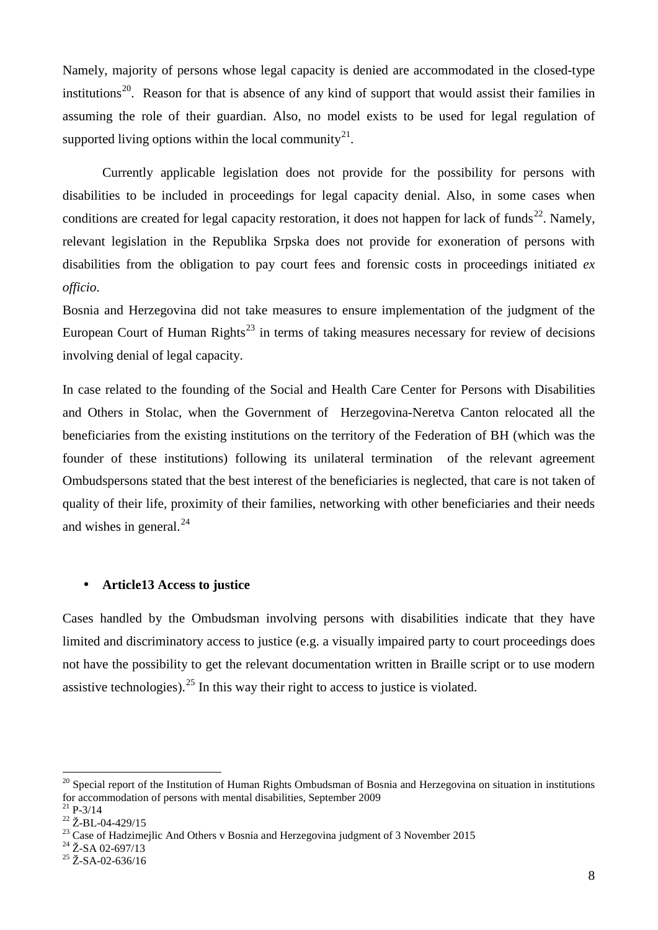Namely, majority of persons whose legal capacity is denied are accommodated in the closed-type institutions<sup>20</sup>. Reason for that is absence of any kind of support that would assist their families in assuming the role of their guardian. Also, no model exists to be used for legal regulation of supported living options within the local community<sup>[21](#page-7-1)</sup>.

Currently applicable legislation does not provide for the possibility for persons with disabilities to be included in proceedings for legal capacity denial. Also, in some cases when conditions are created for legal capacity restoration, it does not happen for lack of funds<sup>22</sup>. Namely, relevant legislation in the Republika Srpska does not provide for exoneration of persons with disabilities from the obligation to pay court fees and forensic costs in proceedings initiated *ex officio*.

Bosnia and Herzegovina did not take measures to ensure implementation of the judgment of the European Court of Human Rights<sup>[23](#page-7-3)</sup> in terms of taking measures necessary for review of decisions involving denial of legal capacity.

In case related to the founding of the Social and Health Care Center for Persons with Disabilities and Others in Stolac, when the Government of Herzegovina-Neretva Canton relocated all the beneficiaries from the existing institutions on the territory of the Federation of BH (which was the founder of these institutions) following its unilateral termination of the relevant agreement Ombudspersons stated that the best interest of the beneficiaries is neglected, that care is not taken of quality of their life, proximity of their families, networking with other beneficiaries and their needs and wishes in general. [24](#page-7-4)

#### **Article13 Access to justice**

Cases handled by the Ombudsman involving persons with disabilities indicate that they have limited and discriminatory access to justice (e.g. a visually impaired party to court proceedings does not have the possibility to get the relevant documentation written in Braille script or to use modern assistive technologies).<sup>[25](#page-7-5)</sup> In this way their right to access to justice is violated.

<span id="page-7-0"></span> $^{20}$  Special report of the Institution of Human Rights Ombudsman of Bosnia and Herzegovina on situation in institutions for accommodation of persons with mental disabilities, September 2009

<span id="page-7-3"></span>

<span id="page-7-2"></span><span id="page-7-1"></span><sup>&</sup>lt;sup>21</sup> P-3/14<br><sup>22</sup> Ž-BL-04-429/15<br><sup>23</sup> Case of Hadzimejlic And Others v Bosnia and Herzegovina judgment of 3 November 2015<br><sup>24</sup> Ž-SA 02-697/13<br><sup>25</sup> Ž-SA-02-636/16

<span id="page-7-4"></span>

<span id="page-7-5"></span>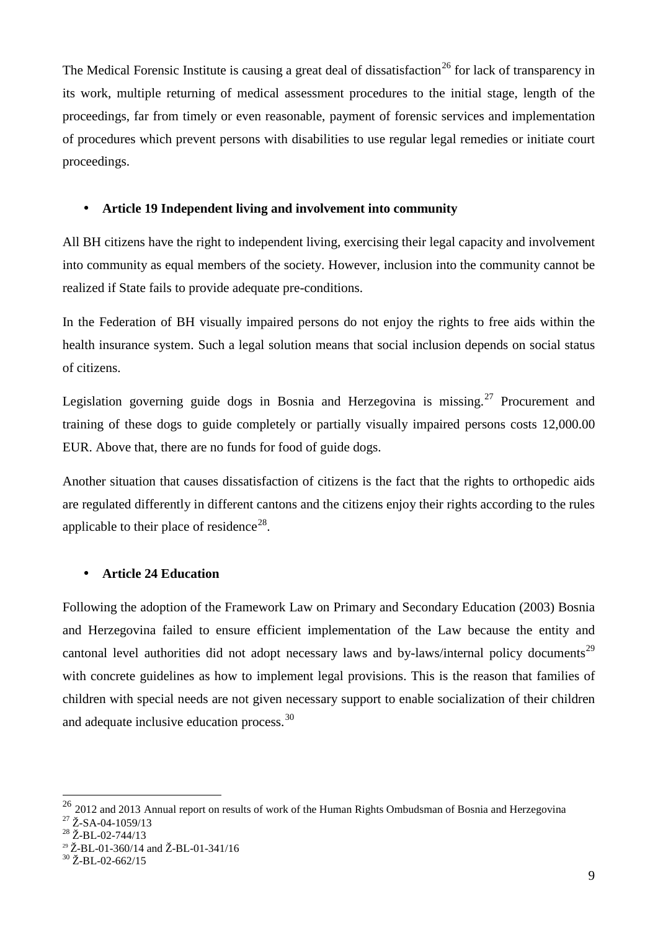The Medical Forensic Institute is causing a great deal of dissatisfaction<sup>[26](#page-8-0)</sup> for lack of transparency in its work, multiple returning of medical assessment procedures to the initial stage, length of the proceedings, far from timely or even reasonable, payment of forensic services and implementation of procedures which prevent persons with disabilities to use regular legal remedies or initiate court proceedings.

# **Article 19 Independent living and involvement into community**

All BH citizens have the right to independent living, exercising their legal capacity and involvement into community as equal members of the society. However, inclusion into the community cannot be realized if State fails to provide adequate pre-conditions.

In the Federation of BH visually impaired persons do not enjoy the rights to free aids within the health insurance system. Such a legal solution means that social inclusion depends on social status of citizens.

Legislation governing guide dogs in Bosnia and Herzegovina is missing.<sup>[27](#page-8-1)</sup> Procurement and training of these dogs to guide completely or partially visually impaired persons costs 12,000.00 EUR. Above that, there are no funds for food of guide dogs.

Another situation that causes dissatisfaction of citizens is the fact that the rights to orthopedic aids are regulated differently in different cantons and the citizens enjoy their rights according to the rules applicable to their place of residence<sup>28</sup>.

# **Article 24 Education**

Following the adoption of the Framework Law on Primary and Secondary Education (2003) Bosnia and Herzegovina failed to ensure efficient implementation of the Law because the entity and cantonal level authorities did not adopt necessary laws and by-laws/internal policy documents<sup>[29](#page-8-3)</sup> with concrete guidelines as how to implement legal provisions. This is the reason that families of children with special needs are not given necessary support to enable socialization of their children and adequate inclusive education process.<sup>[30](#page-8-4)</sup>

<span id="page-8-1"></span><span id="page-8-0"></span><sup>&</sup>lt;sup>26</sup> 2012 and 2013 Annual report on results of work of the Human Rights Ombudsman of Bosnia and Herzegovina <sup>27</sup> Ž-SA-04-1059/13 <sup>28</sup> Ž-BL-02-744/13

<span id="page-8-2"></span>

<span id="page-8-3"></span><sup>&</sup>lt;sup>29</sup> Ž-BL-01-360/14 and Ž-BL-01-341/16<br><sup>30</sup> Ž-BL-02-662/15

<span id="page-8-4"></span>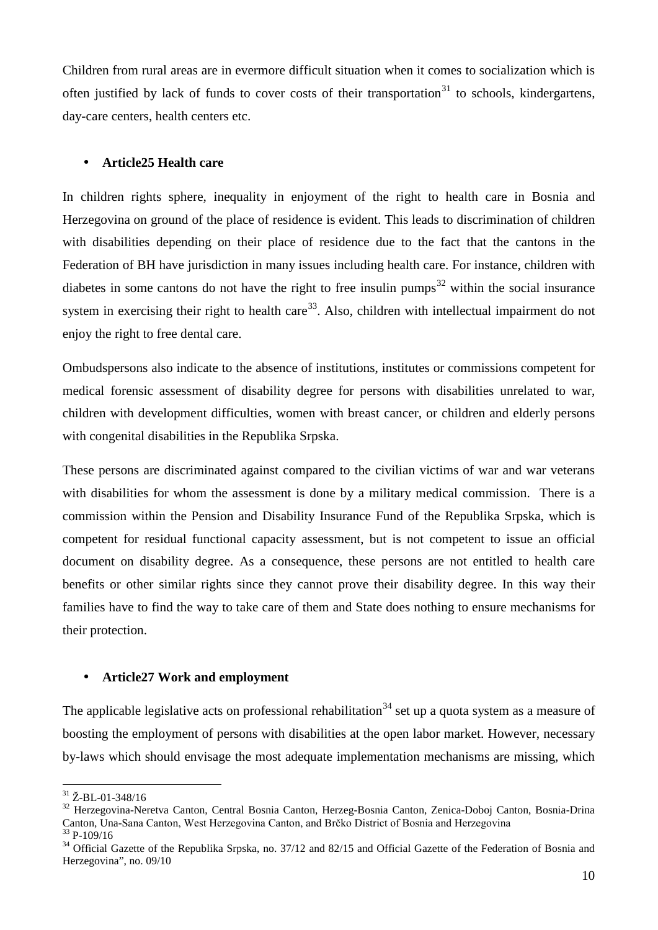Children from rural areas are in evermore difficult situation when it comes to socialization which is often justified by lack of funds to cover costs of their transportation $31$  to schools, kindergartens, day-care centers, health centers etc.

# **Article25 Health care**

In children rights sphere, inequality in enjoyment of the right to health care in Bosnia and Herzegovina on ground of the place of residence is evident. This leads to discrimination of children with disabilities depending on their place of residence due to the fact that the cantons in the Federation of BH have jurisdiction in many issues including health care. For instance, children with diabetes in some cantons do not have the right to free insulin pumps<sup>[32](#page-9-1)</sup> within the social insurance system in exercising their right to health care<sup>[33](#page-9-2)</sup>. Also, children with intellectual impairment do not enjoy the right to free dental care.

Ombudspersons also indicate to the absence of institutions, institutes or commissions competent for medical forensic assessment of disability degree for persons with disabilities unrelated to war, children with development difficulties, women with breast cancer, or children and elderly persons with congenital disabilities in the Republika Srpska.

These persons are discriminated against compared to the civilian victims of war and war veterans with disabilities for whom the assessment is done by a military medical commission. There is a commission within the Pension and Disability Insurance Fund of the Republika Srpska, which is competent for residual functional capacity assessment, but is not competent to issue an official document on disability degree. As a consequence, these persons are not entitled to health care benefits or other similar rights since they cannot prove their disability degree. In this way their families have to find the way to take care of them and State does nothing to ensure mechanisms for their protection.

# **Article27 Work and employment**

The applicable legislative acts on professional rehabilitation<sup>[34](#page-9-3)</sup> set up a quota system as a measure of boosting the employment of persons with disabilities at the open labor market. However, necessary by-laws which should envisage the most adequate implementation mechanisms are missing, which

<span id="page-9-1"></span>

<span id="page-9-0"></span><sup>&</sup>lt;sup>31</sup> Ž-BL-01-348/16<br><sup>32</sup> Herzegovina-Neretva Canton, Central Bosnia Canton, Herzeg-Bosnia Canton, Zenica-Doboj Canton, Bosnia-Drina<br>Canton, Una-Sana Canton, West Herzegovina Canton, and Brčko District of Bosnia and Herzego

<span id="page-9-3"></span><span id="page-9-2"></span><sup>&</sup>lt;sup>33</sup> P-109/16<br><sup>34</sup> Official Gazette of the Republika Srpska, no. 37/12 and 82/15 and Official Gazette of the Federation of Bosnia and Herzegovina", no. 09/10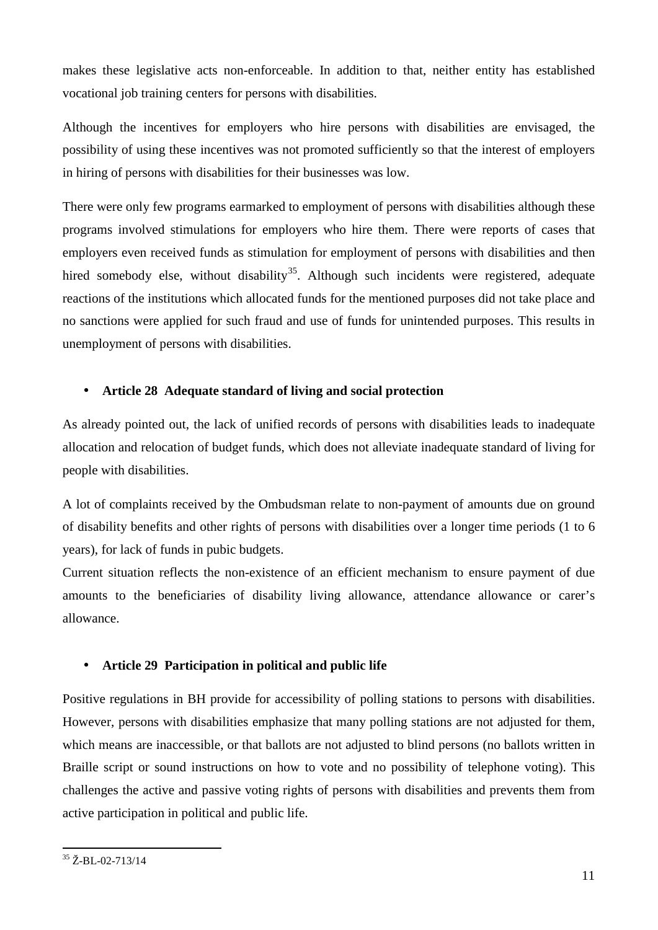makes these legislative acts non-enforceable. In addition to that, neither entity has established vocational job training centers for persons with disabilities.

Although the incentives for employers who hire persons with disabilities are envisaged, the possibility of using these incentives was not promoted sufficiently so that the interest of employers in hiring of persons with disabilities for their businesses was low.

There were only few programs earmarked to employment of persons with disabilities although these programs involved stimulations for employers who hire them. There were reports of cases that employers even received funds as stimulation for employment of persons with disabilities and then hired somebody else, without disability<sup>35</sup>. Although such incidents were registered, adequate reactions of the institutions which allocated funds for the mentioned purposes did not take place and no sanctions were applied for such fraud and use of funds for unintended purposes. This results in unemployment of persons with disabilities.

# **Article 28 Adequate standard of living and social protection**

As already pointed out, the lack of unified records of persons with disabilities leads to inadequate allocation and relocation of budget funds, which does not alleviate inadequate standard of living for people with disabilities.

A lot of complaints received by the Ombudsman relate to non-payment of amounts due on ground of disability benefits and other rights of persons with disabilities over a longer time periods (1 to 6 years), for lack of funds in pubic budgets.

Current situation reflects the non-existence of an efficient mechanism to ensure payment of due amounts to the beneficiaries of disability living allowance, attendance allowance or carer's allowance.

# **Article 29 Participation in political and public life**

Positive regulations in BH provide for accessibility of polling stations to persons with disabilities. However, persons with disabilities emphasize that many polling stations are not adjusted for them, which means are inaccessible, or that ballots are not adjusted to blind persons (no ballots written in Braille script or sound instructions on how to vote and no possibility of telephone voting). This challenges the active and passive voting rights of persons with disabilities and prevents them from active participation in political and public life.

 $\ddot{\phantom{0}}$ 

ä,

<span id="page-10-0"></span> $35 \check{Z}$ -BL-02-713/14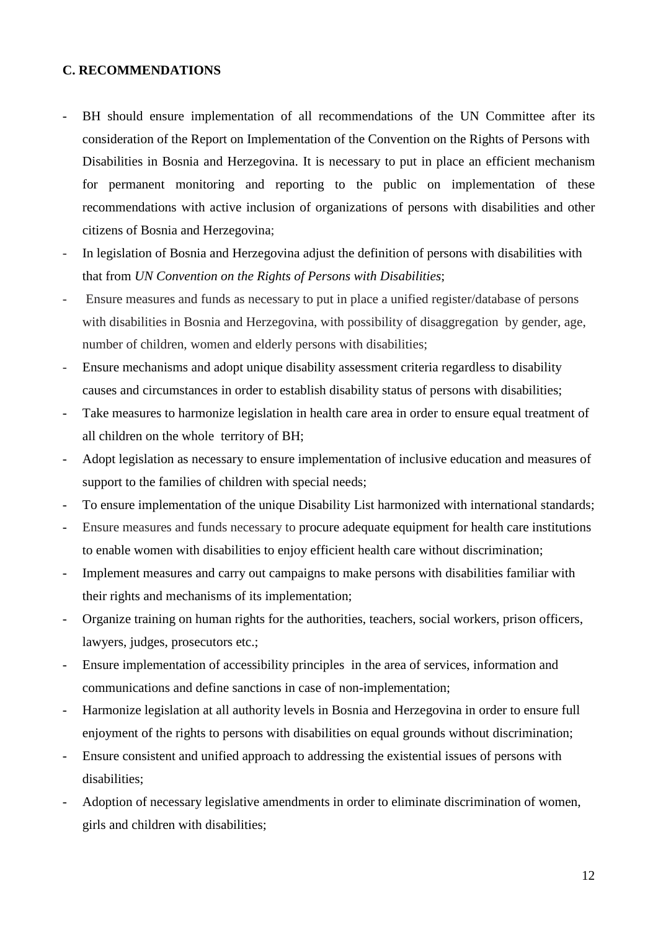# **C. RECOMMENDATIONS**

- BH should ensure implementation of all recommendations of the UN Committee after its consideration of the Report on Implementation of the Convention on the Rights of Persons with Disabilities in Bosnia and Herzegovina. It is necessary to put in place an efficient mechanism for permanent monitoring and reporting to the public on implementation of these recommendations with active inclusion of organizations of persons with disabilities and other citizens of Bosnia and Herzegovina;
- In legislation of Bosnia and Herzegovina adjust the definition of persons with disabilities with that from *UN Convention on the Rights of Persons with Disabilities*;
- Ensure measures and funds as necessary to put in place a unified register/database of persons with disabilities in Bosnia and Herzegovina, with possibility of disaggregation by gender, age, number of children, women and elderly persons with disabilities;
- Ensure mechanisms and adopt unique disability assessment criteria regardless to disability causes and circumstances in order to establish disability status of persons with disabilities;
- Take measures to harmonize legislation in health care area in order to ensure equal treatment of all children on the whole territory of BH;
- Adopt legislation as necessary to ensure implementation of inclusive education and measures of support to the families of children with special needs;
- To ensure implementation of the unique Disability List harmonized with international standards;
- Ensure measures and funds necessary to procure adequate equipment for health care institutions to enable women with disabilities to enjoy efficient health care without discrimination;
- Implement measures and carry out campaigns to make persons with disabilities familiar with their rights and mechanisms of its implementation;
- Organize training on human rights for the authorities, teachers, social workers, prison officers, lawyers, judges, prosecutors etc.;
- Ensure implementation of accessibility principles in the area of services, information and communications and define sanctions in case of non-implementation;
- Harmonize legislation at all authority levels in Bosnia and Herzegovina in order to ensure full enjoyment of the rights to persons with disabilities on equal grounds without discrimination;
- Ensure consistent and unified approach to addressing the existential issues of persons with disabilities;
- Adoption of necessary legislative amendments in order to eliminate discrimination of women, girls and children with disabilities;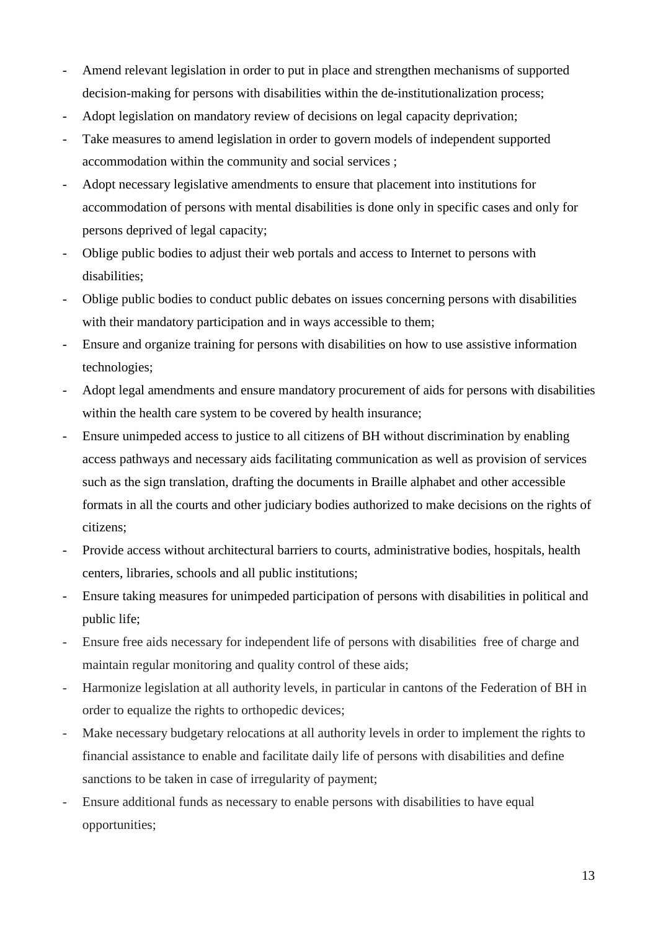- Amend relevant legislation in order to put in place and strengthen mechanisms of supported decision-making for persons with disabilities within the de-institutionalization process;
- Adopt legislation on mandatory review of decisions on legal capacity deprivation;
- Take measures to amend legislation in order to govern models of independent supported accommodation within the community and social services ;
- Adopt necessary legislative amendments to ensure that placement into institutions for accommodation of persons with mental disabilities is done only in specific cases and only for persons deprived of legal capacity;
- Oblige public bodies to adjust their web portals and access to Internet to persons with disabilities;
- Oblige public bodies to conduct public debates on issues concerning persons with disabilities with their mandatory participation and in ways accessible to them;
- Ensure and organize training for persons with disabilities on how to use assistive information technologies;
- Adopt legal amendments and ensure mandatory procurement of aids for persons with disabilities within the health care system to be covered by health insurance;
- Ensure unimpeded access to justice to all citizens of BH without discrimination by enabling access pathways and necessary aids facilitating communication as well as provision of services such as the sign translation, drafting the documents in Braille alphabet and other accessible formats in all the courts and other judiciary bodies authorized to make decisions on the rights of citizens;
- Provide access without architectural barriers to courts, administrative bodies, hospitals, health centers, libraries, schools and all public institutions;
- Ensure taking measures for unimpeded participation of persons with disabilities in political and public life;
- Ensure free aids necessary for independent life of persons with disabilities free of charge and maintain regular monitoring and quality control of these aids;
- Harmonize legislation at all authority levels, in particular in cantons of the Federation of BH in order to equalize the rights to orthopedic devices;
- Make necessary budgetary relocations at all authority levels in order to implement the rights to financial assistance to enable and facilitate daily life of persons with disabilities and define sanctions to be taken in case of irregularity of payment;
- Ensure additional funds as necessary to enable persons with disabilities to have equal opportunities;